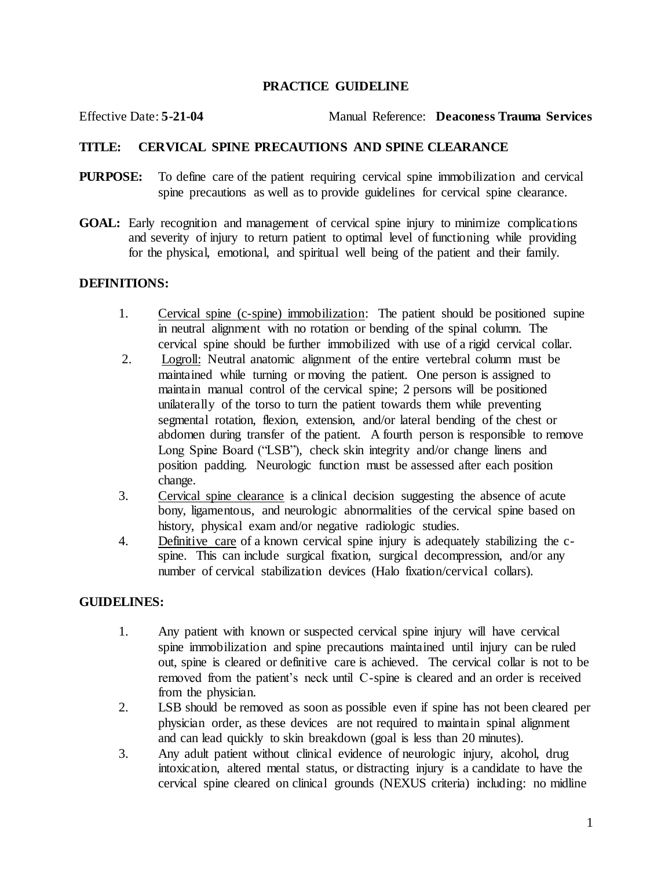## **PRACTICE GUIDELINE**

Effective Date: **5-21-04** Manual Reference: **Deaconess Trauma Services**

# **TITLE: CERVICAL SPINE PRECAUTIONS AND SPINE CLEARANCE**

- **PURPOSE:** To define care of the patient requiring cervical spine immobilization and cervical spine precautions as well as to provide guidelines for cervical spine clearance.
- **GOAL:** Early recognition and management of cervical spine injury to minimize complications and severity of injury to return patient to optimal level of functioning while providing for the physical, emotional, and spiritual well being of the patient and their family.

## **DEFINITIONS:**

- 1. Cervical spine (c-spine) immobilization: The patient should be positioned supine in neutral alignment with no rotation or bending of the spinal column. The cervical spine should be further immobilized with use of a rigid cervical collar.
- 2. Logroll: Neutral anatomic alignment of the entire vertebral column must be maintained while turning or moving the patient. One person is assigned to maintain manual control of the cervical spine; 2 persons will be positioned unilaterally of the torso to turn the patient towards them while preventing segmental rotation, flexion, extension, and/or lateral bending of the chest or abdomen during transfer of the patient. A fourth person is responsible to remove Long Spine Board ("LSB"), check skin integrity and/or change linens and position padding. Neurologic function must be assessed after each position change.
- 3. Cervical spine clearance is a clinical decision suggesting the absence of acute bony, ligamentous, and neurologic abnormalities of the cervical spine based on history, physical exam and/or negative radiologic studies.
- 4. Definitive care of a known cervical spine injury is adequately stabilizing the cspine. This can include surgical fixation, surgical decompression, and/or any number of cervical stabilization devices (Halo fixation/cervical collars).

## **GUIDELINES:**

- 1. Any patient with known or suspected cervical spine injury will have cervical spine immobilization and spine precautions maintained until injury can be ruled out, spine is cleared or definitive care is achieved. The cervical collar is not to be removed from the patient's neck until C-spine is cleared and an order is received from the physician.
- 2. LSB should be removed as soon as possible even if spine has not been cleared per physician order, as these devices are not required to maintain spinal alignment and can lead quickly to skin breakdown (goal is less than 20 minutes).
- 3. Any adult patient without clinical evidence of neurologic injury, alcohol, drug intoxication, altered mental status, or distracting injury is a candidate to have the cervical spine cleared on clinical grounds (NEXUS criteria) including: no midline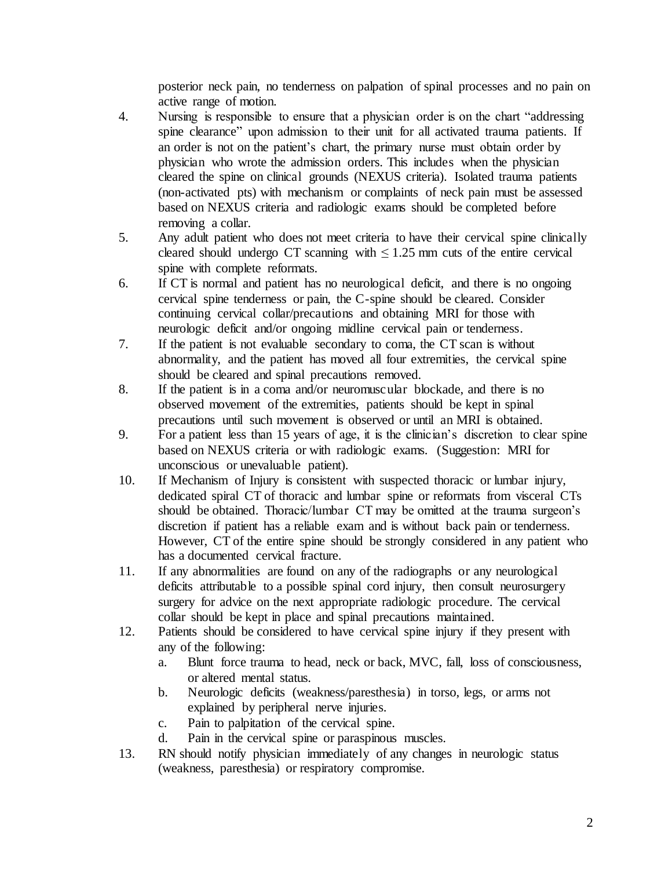posterior neck pain, no tenderness on palpation of spinal processes and no pain on active range of motion.

- 4. Nursing is responsible to ensure that a physician order is on the chart "addressing spine clearance" upon admission to their unit for all activated trauma patients. If an order is not on the patient's chart, the primary nurse must obtain order by physician who wrote the admission orders. This includes when the physician cleared the spine on clinical grounds (NEXUS criteria). Isolated trauma patients (non-activated pts) with mechanism or complaints of neck pain must be assessed based on NEXUS criteria and radiologic exams should be completed before removing a collar.
- 5. Any adult patient who does not meet criteria to have their cervical spine clinically cleared should undergo CT scanning with  $\leq 1.25$  mm cuts of the entire cervical spine with complete reformats.
- 6. If CT is normal and patient has no neurological deficit, and there is no ongoing cervical spine tenderness or pain, the C-spine should be cleared. Consider continuing cervical collar/precautions and obtaining MRI for those with neurologic deficit and/or ongoing midline cervical pain or tenderness.
- 7. If the patient is not evaluable secondary to coma, the CT scan is without abnormality, and the patient has moved all four extremities, the cervical spine should be cleared and spinal precautions removed.
- 8. If the patient is in a coma and/or neuromuscular blockade, and there is no observed movement of the extremities, patients should be kept in spinal precautions until such movement is observed or until an MRI is obtained.
- 9. For a patient less than 15 years of age, it is the clinician's discretion to clear spine based on NEXUS criteria or with radiologic exams. (Suggestion: MRI for unconscious or unevaluable patient).
- 10. If Mechanism of Injury is consistent with suspected thoracic or lumbar injury, dedicated spiral CT of thoracic and lumbar spine or reformats from visceral CTs should be obtained. Thoracic/lumbar CT may be omitted at the trauma surgeon's discretion if patient has a reliable exam and is without back pain or tenderness. However, CT of the entire spine should be strongly considered in any patient who has a documented cervical fracture.
- 11. If any abnormalities are found on any of the radiographs or any neurological deficits attributable to a possible spinal cord injury, then consult neurosurgery surgery for advice on the next appropriate radiologic procedure. The cervical collar should be kept in place and spinal precautions maintained.
- 12. Patients should be considered to have cervical spine injury if they present with any of the following:
	- a. Blunt force trauma to head, neck or back, MVC, fall, loss of consciousness, or altered mental status.
	- b. Neurologic deficits (weakness/paresthesia) in torso, legs, or arms not explained by peripheral nerve injuries.
	- c. Pain to palpitation of the cervical spine.
	- d. Pain in the cervical spine or paraspinous muscles.
- 13. RN should notify physician immediately of any changes in neurologic status (weakness, paresthesia) or respiratory compromise.